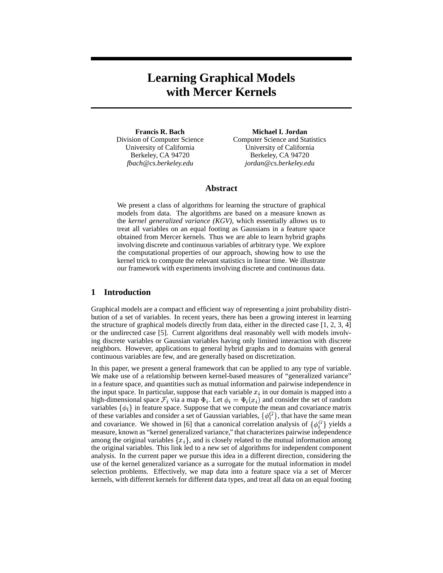# **Learning Graphical Models with Mercer Kernels**

**Francis R. Bach** Division of Computer Science University of California Berkeley, CA 94720 *fbach@cs.berkeley.edu*

**Michael I. Jordan** Computer Science and Statistics University of California Berkeley, CA 94720 *jordan@cs.berkeley.edu*

# **Abstract**

We present a class of algorithms for learning the structure of graphical models from data. The algorithms are based on a measure known as the *kernel generalized variance (KGV)*, which essentially allows us to treat all variables on an equal footing as Gaussians in a feature space obtained from Mercer kernels. Thus we are able to learn hybrid graphs involving discrete and continuous variables of arbitrary type. We explore the computational properties of our approach, showing how to use the kernel trick to compute the relevant statistics in linear time. We illustrate our framework with experiments involving discrete and continuous data.

# **1 Introduction**

Graphical models are a compact and efficient way of representing a joint probability distribution of a set of variables. In recent years, there has been a growing interest in learning the structure of graphical models directly from data, either in the directed case [1, 2, 3, 4] or the undirected case [5]. Current algorithms deal reasonably well with models involving discrete variables or Gaussian variables having only limited interaction with discrete neighbors. However, applications to general hybrid graphs and to domains with general continuous variables are few, and are generally based on discretization.

In this paper, we present a general framework that can be applied to any type of variable. We make use of a relationship between kernel-based measures of "generalized variance" in a feature space, and quantities such as mutual information and pairwise independence in the input space. In particular, suppose that each variable  $x_i$  in our domain is mapped into a high-dimensional space  $\mathcal{F}_i$  via a map  $\Phi_i$ . Let  $\phi_i = \Phi_i(x_i)$  and consider the set of random variables  $\{\phi_i\}$  in feature space. Suppose that we compute the mean and covariance matrix of these variables and consider a set of Gaussian variables,  $\{\phi_i^G\}$ , that have the same mean and covariance. We showed in [6] that a canonical correlation analysis of  $\{\phi_i^G\}$  yields a measure, known as "kernel generalized variance," that characterizes pairwise independence among the original variables  $\{x_i\}$ , and is closely related to the mutual information among the original variables. This link led to a new set of algorithms for independent component analysis. In the current paper we pursue this idea in a different direction, considering the use of the kernel generalized variance as a surrogate for the mutual information in model selection problems. Effectively, we map data into a feature space via a set of Mercer kernels, with different kernels for different data types, and treat all data on an equal footing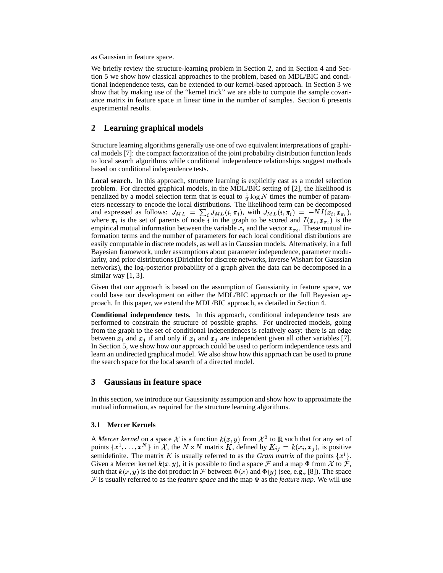as Gaussian in feature space.

We briefly review the structure-learning problem in Section 2, and in Section 4 and Section 5 we show how classical approaches to the problem, based on MDL/BIC and conditional independence tests, can be extended to our kernel-based approach. In Section 3 we show that by making use of the "kernel trick" we are able to compute the sample covariance matrix in feature space in linear time in the number of samples. Section 6 presents experimental results.

# **2 Learning graphical models**

Structure learning algorithms generally use one of two equivalent interpretations of graphical models [7]: the compact factorization of the joint probability distribution function leads to local search algorithms while conditional independence relationships suggest methods based on conditional independence tests.

**Local search.** In this approach, structure learning is explicitly cast as a model selection problem. For directed graphical models, in the MDL/BIC setting of [2], the likelihood is penalized by a model selection term that is equal to  $\frac{1}{2} \log N$  times the number of parameters necessary to encode the local distributions. The likelihood term can be decomposed and expressed as follows:  $J_{ML} = \sum_i J_{ML}(i, \pi_i)$ , with  $J_{ML}(i, \pi_i) = -NI(x_i, x_{\pi_i})$ , where  $\pi_i$  is the set of parents of node i in the graph to be scored and  $I(x_i, x_{\pi_i})$  is the empirical mutual information between the variable  $x_i$  and the vector  $x_{\pi_i}$ . These mutual information terms and the number of parameters for each local conditional distributions are easily computable in discrete models, as well as in Gaussian models. Alternatively, in a full Bayesian framework, under assumptions about parameter independence, parameter modularity, and prior distributions (Dirichlet for discrete networks, inverse Wishart for Gaussian networks), the log-posterior probability of a graph given the data can be decomposed in a similar way [1, 3].

Given that our approach is based on the assumption of Gaussianity in feature space, we could base our development on either the MDL/BIC approach or the full Bayesian approach. In this paper, we extend the MDL/BIC approach, as detailed in Section 4.

**Conditional independence tests.** In this approach, conditional independence tests are performed to constrain the structure of possible graphs. For undirected models, going from the graph to the set of conditional independences is relatively easy: there is an edge between  $x_i$  and  $x_j$  if and only if  $x_i$  and  $x_j$  are independent given all other variables [7]. In Section 5, we show how our approach could be used to perform independence tests and learn an undirected graphical model. We also show how this approach can be used to prune the search space for the local search of a directed model.

# **3 Gaussians in feature space**

In this section, we introduce our Gaussianity assumption and show how to approximate the mutual information, as required for the structure learning algorithms.

## **3.1 Mercer Kernels**

A *Mercer kernel* on a space X is a function  $k(x, y)$  from  $\mathcal{X}^2$  to  $\mathbb R$  such that for any set of points  $\{x^1, \ldots, x^N\}$  in X, the  $N \times N$  matrix K, defined by  $K_{ij} = k(x_i, x_j)$ , is positive semidefinite. The matrix K is usually referred to as the *Gram matrix* of the points  $\{x^i\}$ . Given a Mercer kernel  $k(x, y)$ , it is possible to find a space  $\mathcal F$  and a map  $\Phi$  from  $\mathcal X$  to  $\mathcal F$ , such that  $k(x, y)$  is the dot product in F between  $\Phi(x)$  and  $\Phi(y)$  (see, e.g., [8]). The space  $\mathcal F$  is usually referred to as the *feature space* and the map  $\Phi$  as the *feature map*. We will use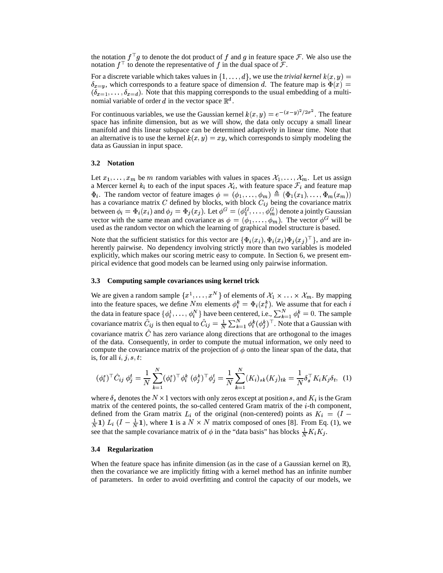the notation  $f^{\top}g$  to denote the dot product of f and g in feature space F. We also use the notation  $f^{\top}$  to denote the representative of f in the dual space of F.

For a discrete variable which takes values in  $\{1,\ldots,d\}$ , we use the *trivial kernel*  $k(x, y) =$  $\delta_{x=y}$ , which corresponds to a feature space of dimension d. The feature map is  $\Phi(x) =$  $(\delta_{x=1}, \ldots, \delta_{x=d})$ . Note that this mapping corresponds to the usual embedding of a multinomial variable of order d in the vector space  $\mathbb{R}^d$ .

For continuous variables, we use the Gaussian kernel  $k(x, y) = e^{-(x-y)^2/2\sigma^2}$ . The feature space has infinite dimension, but as we will show, the data only occupy a small linear manifold and this linear subspace can be determined adaptively in linear time. Note that an alternative is to use the kernel  $k(x, y) = xy$ , which corresponds to simply modeling the data as Gaussian in input space.

# **3.2 Notation**

Let  $x_1, \ldots, x_m$  be m random variables with values in spaces  $\mathcal{X}_1, \ldots, \mathcal{X}_m$ . Let us assign a Mercer kernel  $k_i$  to each of the input spaces  $\mathcal{X}_i$ , with feature space  $\mathcal{F}_i$  and feature map  $\Phi_i$ . The random vector of feature images  $\phi = (\phi_1, \dots, \phi_m)$  $(\phi_1,\ldots,\phi_m) = (\Phi_1(x_1),\ldots,\Phi_n)$   $\Psi_i$ . The random vector of feature images  $\varphi = (\varphi_1, \dots, \varphi_m) = (\Psi_1(x_1), \dots, \Psi_m(x_m))$ <br>has a covariance matrix C defined by blocks, with block  $C_{ij}$  being the covariance matrix between  $\phi_i = \Phi_i(x_i)$  and  $\phi_j = \Phi_j(x_j)$ . Let  $\phi^G = (\phi_1^G, \dots, \phi_m^G)$  denote a jointly Gaussian vector with the same mean and covariance as  $\phi = (\phi_1, \ldots, \phi_m)$ . The vector  $\phi^G$  will be used as the random vector on which the learning of graphical model structure is based.

Note that the sufficient statistics for this vector are  $\{\Phi_i(x_i), \Phi_i(x_i)\Phi_i(x_j)^\top\}$ , and are inherently pairwise. No dependency involving strictly more than two variables is modeled explicitly, which makes our scoring metric easy to compute. In Section 6, we present empirical evidence that good models can be learned using only pairwise information.

## **3.3 Computing sample covariances using kernel trick**

We are given a random sample  $\{x^1,\ldots,x^N\}$  of elements of  $\mathcal{X}_1 \times \ldots \times \mathcal{X}_m$ . By mapping into the feature spaces, we define Nm elements  $\phi_i^k = \Phi_i(x_i^k)$ . We assume that for each i the data in feature space  $\{\phi_i^1, \ldots, \phi_i^N\}$  have been centered, i.e.,  $\sum_{k=1}^N \phi_i^k = 0$ . The sample covariance matrix  $\ddot{C}_{ij}$  is then equal to  $\ddot{C}_{ij}=\frac{1}{N}\sum_{k=1}^{N}\phi_{i}^{k}(\phi_{j}^{k})^{\top}$ . Note that a Gaussian with covariance matrix  $\hat{C}$  has zero variance along directions that are orthogonal to the images of the data. Consequently, in order to compute the mutual information, we only need to compute the covariance matrix of the projection of  $\phi$  onto the linear span of the data, that is, for all  $i, j, s, t$ :

$$
(\phi_i^s)^\top \hat{C}_{ij} \; \phi_j^t = \frac{1}{N} \sum_{k=1}^N (\phi_i^s)^\top \phi_i^k \; (\phi_j^k)^\top \phi_j^t = \frac{1}{N} \sum_{k=1}^N (K_i)_{sk}(K_j)_{tk} = \frac{1}{N} \delta_s^\top K_i K_j \delta_t, \tag{1}
$$

where  $\delta_s$  denotes the  $N \times 1$  vectors with only zeros except at position s, and  $K_i$  is the Gram matrix of the centered points, the so-called centered Gram matrix of the  $i$ -th component, defined from the Gram matrix  $L_i$  of the original (non-centered) points as  $K_i = (I \frac{1}{N}$ 1)  $L_i$   $(I - \frac{1}{N}1)$ , where 1 is a  $N \times N$  matrix composed of ones [8]. From Eq. (1), we see that the sample covariance matrix of  $\phi$  in the "data basis" has blocks  $\frac{1}{N}K_iK_j$ .

## **3.4 Regularization**

When the feature space has infinite dimension (as in the case of a Gaussian kernel on  $\mathbb{R}$ ), then the covariance we are implicitly fitting with a kernel method has an infinite number of parameters. In order to avoid overfitting and control the capacity of our models, we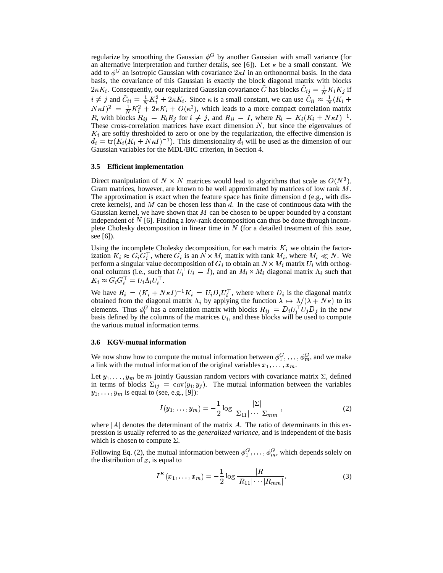regularize by smoothing the Gaussian  $\phi^G$  by another Gaussian with small variance (for an alternative interpretation and further details, see [6]). Let  $\kappa$  be a small constant. We add to  $\phi^G$  an isotropic Gaussian with covariance  $2\kappa I$  in an orthonormal basis. In the data basis, the covariance of this Gaussian is exactly the block diagonal matrix with blocks  $2\kappa K_i$ . Consequently, our regularized Gaussian covariance  $\tilde{C}$  has blocks  $\tilde{C}_{ij} = \frac{1}{N} K_i K_j$  if  $i \neq j$  and  $\tilde{C}_{ii} = \frac{1}{N} K_i^2 + 2\kappa K_i$ . Since  $\kappa$  $i \neq j$  and  $\tilde{C}_{ii} = \frac{1}{N} K_i^2 + 2\kappa K_i$ . Since  $\kappa$  is a small constant, we can use  $\tilde{C}_{ii} \approx \frac{1}{N} (K_i + N\kappa I)^2 = \frac{1}{N} K_i^2 + 2\kappa K_i + O(\kappa^2)$ , which leads to a more compact correlation matrix  $N\kappa I)^2 = \frac{1}{N}K_i^2 + 2\kappa K_i + O(\kappa^2)$ , which leads to a more compact correlation matrix , with blocks  $R_{ij} = R_i R_j$  for  $i \neq j$ , and  $R_{ii} = I$ , where  $R_i = K_i (K_i + N \kappa I)^{-1}$ . These cross-correlation matrices have exact dimension  $N$ , but since the eigenvalues of  $K_i$  are softly thresholded to zero or one by the regularization, the effective dimension is  $d_i = \text{tr}(K_i(K_i + N\kappa I)^{-1})$ . This dimensionality  $d_i$  will be used as the dimension of our Gaussian variables for the MDL/BIC criterion, in Section 4.

#### **3.5 Efficient implementation**

Direct manipulation of  $N \times N$  matrices would lead to algorithms that scale as  $O(N^3)$ . Gram matrices, however, are known to be well approximated by matrices of low rank  $M$ . The approximation is exact when the feature space has finite dimension  $d$  (e.g., with discrete kernels), and M can be chosen less than d. In the case of continuous data with the Gaussian kernel, we have shown that  $M$  can be chosen to be upper bounded by a constant independent of  $N$  [6]. Finding a low-rank decomposition can thus be done through incomplete Cholesky decomposition in linear time in  $N$  (for a detailed treatment of this issue, see [6]).

Using the incomplete Cholesky decomposition, for each matrix  $K_i$  we obtain the factorization  $K_i \approx G_i G_i^{\top}$ , where  $G_i$  is an  $N \times M_i$  matrix with rank  $M_i$ , where  $M_i \ll N$ . We perform a singular value decomposition of  $G_i$  to obtain an  $N \times M_i$  matrix  $U_i$  with orthogonal columns (i.e., such that  $U_i^{\dagger} U_i = I$ ), and an  $M_i \times M_i$  diagonal matrix  $\Lambda_i$  such that  $K_i \approx G_i G_i^{\top} = U_i \Lambda_i U_i^{\top}.$ 

We have  $R_i = (K_i + N\kappa I)^{-1} K_i = U_i D_i U_i^{\dagger}$ , where where  $D_i$  is the diagonal matrix obtained from the diagonal matrix  $\Lambda_i$  by applying the function  $\lambda \mapsto \lambda/(\lambda + N\kappa)$  to its elements. Thus  $\phi_i^G$  has a correlation matrix with blocks  $R_{ij} = D_i U_i^{\dagger} U_j D_j$  in the new basis defined by the columns of the matrices  $U_i$ , and these blocks will be used to compute the various mutual information terms.

## **3.6 KGV-mutual information**

We now show how to compute the mutual information between  $\phi_1^G, \dots, \phi_m^G$ , and we make a link with the mutual information of the original variables  $x_1, \ldots, x_m$ .

Let  $y_1, \ldots, y_m$  be m jointly Gaussian random vectors with covariance matrix  $\Sigma$ , defined in terms of blocks  $\Sigma_{ij} = cov(y_i, y_j)$ . The mutual information between the variables  $y_1, \ldots, y_m$  is equal to (see, e.g., [9]):

$$
I(y_1,\ldots,y_m)=-\frac{1}{2}\log\frac{|\Sigma|}{|\Sigma_{11}|\cdots|\Sigma_{mm}|},\qquad(2)
$$

where  $|A|$  denotes the determinant of the matrix A. The ratio of determinants in this expression is usually referred to as the *generalized variance*, and is independent of the basis which is chosen to compute  $\Sigma$ .

Following Eq. (2), the mutual information between  $\phi_1^G, \ldots, \phi_m^G$ , which depends solely on the distribution of  $x$ , is equal to

$$
I^{K}(x_{1},...,x_{m}) = -\frac{1}{2}\log\frac{|R|}{|R_{11}| \cdots |R_{mm}|}.
$$
 (3)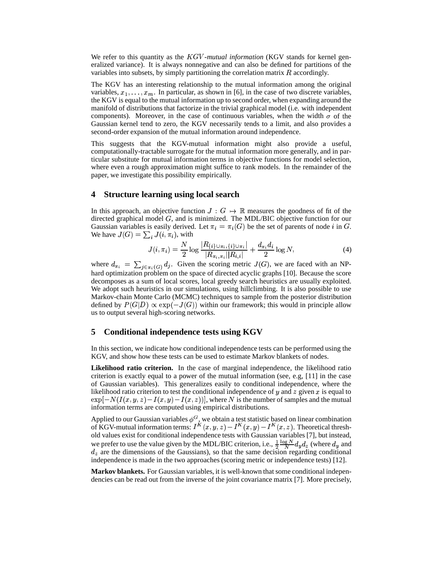We refer to this quantity as the  $KGV$ -mutual information (KGV stands for kernel generalized variance). It is always nonnegative and can also be defined for partitions of the variables into subsets, by simply partitioning the correlation matrix  $R$  accordingly.

The KGV has an interesting relationship to the mutual information among the original variables,  $x_1, \ldots, x_m$ . In particular, as shown in [6], in the case of two discrete variables, the KGV is equal to the mutual information up to second order, when expanding around the manifold of distributions that factorize in the trivial graphical model (i.e. with independent components). Moreover, in the case of continuous variables, when the width  $\sigma$  of the Gaussian kernel tend to zero, the KGV necessarily tends to a limit, and also provides a second-order expansion of the mutual information around independence.

This suggests that the KGV-mutual information might also provide a useful, computationally-tractable surrogate for the mutual information more generally, and in particular substitute for mutual information terms in objective functions for model selection, where even a rough approximation might suffice to rank models. In the remainder of the paper, we investigate this possibility empirically.

## **4 Structure learning using local search**

In this approach, an objective function  $J: G \mapsto \mathbb{R}$  measures the goodness of fit of the directed graphical model  $G$ , and is minimized. The MDL/BIC objective function for our Gaussian variables is easily derived. Let  $\pi_i = \pi_i(G)$  be the set of parents of node i in G. We have  $J(G) = \sum_i J(i, \pi_i)$ , with

$$
J(i, \pi_i) = \frac{N}{2} \log \frac{|R_{\{i\} \cup \pi_i, \{i\} \cup \pi_i}|}{|R_{\pi_i, \pi_i}| |R_{i, i}|} + \frac{d_{\pi_i} d_i}{2} \log N,
$$
\n(4)

where  $d_{\pi_i} = \sum_{j \in \pi_i(G)} d_j$ . Given the scoring metric  $J(G)$ , we are faced with an NPhard optimization problem on the space of directed acyclic graphs [10]. Because the score decomposes as a sum of local scores, local greedy search heuristics are usually exploited. We adopt such heuristics in our simulations, using hillclimbing. It is also possible to use Markov-chain Monte Carlo (MCMC) techniques to sample from the posterior distribution defined by  $P(G|D) \propto \exp(-J(G))$  within our framework; this would in principle allow us to output several high-scoring networks.

## **5 Conditional independence tests using KGV**

In this section, we indicate how conditional independence tests can be performed using the KGV, and show how these tests can be used to estimate Markov blankets of nodes.

**Likelihood ratio criterion.** In the case of marginal independence, the likelihood ratio criterion is exactly equal to a power of the mutual information (see, e.g, [11] in the case of Gaussian variables). This generalizes easily to conditional independence, where the likelihood ratio criterion to test the conditional independence of  $y$  and  $z$  given  $x$  is equal to  $\exp[-N(I(x,y,z)-I(x,y)-I(x,z))]$ , where N is the number of samples and the mutual information terms are computed using empirical distributions.

Applied to our Gaussian variables  $\phi^G$ , we obtain a test statistic based on linear combination of KGV-mutual information terms:  $I^K(x, y, z) - I^K(x, y) - I^K(x, z)$ . Theoretical threshold values exist for conditional independence tests with Gaussian variables [7], but instead, we prefer to use the value given by the MDL/BIC criterion, i.e.,  $\frac{1}{2} \frac{\log N}{N} d_y d_z$  (where  $d_y$  and  $d_z$  are the dimensions of the Gaussians), so that the same decision regarding conditional independence is made in the two approaches (scoring metric or independence tests) [12].

**Markov blankets.** For Gaussian variables, it is well-known that some conditional independencies can be read out from the inverse of the joint covariance matrix [7]. More precisely,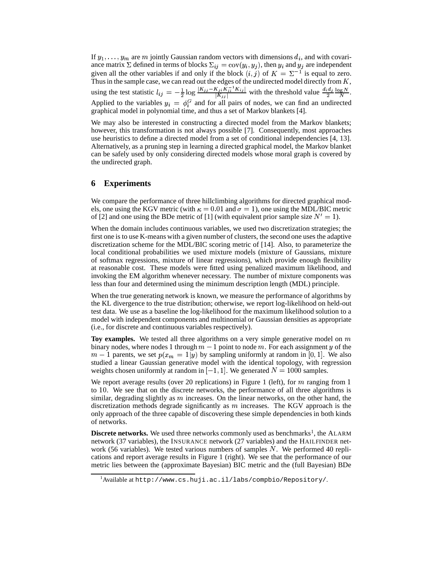If  $y_1, \ldots, y_m$  are m jointly Gaussian random vectors with dimensions  $d_i$ , and with covariance matrix  $\Sigma$  defined in terms of blocks  $\Sigma_{ij} = \text{cov}(y_i, y_j)$ , then  $y_i$  and  $y_j$  are independent given all the other variables if and only if the block  $(i, j)$  of  $K = \Sigma^{-1}$  is equal to zero. Thus in the sample case, we can read out the edges of the undirected model directly from  $K$ , using the test statistic  $l_{ij} = -\frac{1}{2} \log \frac{|K_{jj} - K_{ji}K_{ij}|}{|K_{jj}|}$  with the threshold value  $\frac{d_i d_j}{2} \frac{\log N}{N}$ . Applied to the variables  $y_i = \phi_i^G$  and for all pairs of nodes, we can find an undirected graphical model in polynomial time, and thus a set of Markov blankets [4].

We may also be interested in constructing a directed model from the Markov blankets; however, this transformation is not always possible [7]. Consequently, most approaches use heuristics to define a directed model from a set of conditional independencies [4, 13]. Alternatively, as a pruning step in learning a directed graphical model, the Markov blanket can be safely used by only considering directed models whose moral graph is covered by the undirected graph.

# **6 Experiments**

We compare the performance of three hillclimbing algorithms for directed graphical models, one using the KGV metric (with  $\kappa = 0.01$  and  $\sigma = 1$ ), one using the MDL/BIC metric of [2] and one using the BDe metric of [1] (with equivalent prior sample size  $N' = 1$ ).

When the domain includes continuous variables, we used two discretization strategies; the first one is to use K-means with a given number of clusters, the second one uses the adaptive discretization scheme for the MDL/BIC scoring metric of [14]. Also, to parameterize the local conditional probabilities we used mixture models (mixture of Gaussians, mixture of softmax regressions, mixture of linear regressions), which provide enough flexibility at reasonable cost. These models were fitted using penalized maximum likelihood, and invoking the EM algorithm whenever necessary. The number of mixture components was less than four and determined using the minimum description length (MDL) principle.

When the true generating network is known, we measure the performance of algorithms by the KL divergence to the true distribution; otherwise, we report log-likelihood on held-out test data. We use as a baseline the log-likelihood for the maximum likelihood solution to a model with independent components and multinomial or Gaussian densities as appropriate (i.e., for discrete and continuous variables respectively).

Toy examples. We tested all three algorithms on a very simple generative model on  $$ binary nodes, where nodes 1 through  $m-1$  point to node m. For each assignment y of the  $m-1$  parents, we set  $p(x_m = 1|y)$  by sampling uniformly at random in [0, 1]. We also studied a linear Gaussian generative model with the identical topology, with regression weights chosen uniformly at random in  $[-1, 1]$ . We generated  $N = 1000$  samples.

We report average results (over 20 replications) in Figure 1 (left), for  $m$  ranging from 1 to 10. We see that on the discrete networks, the performance of all three algorithms is similar, degrading slightly as  *increases. On the linear networks, on the other hand, the* discretization methods degrade significantly as  $m$  increases. The KGV approach is the only approach of the three capable of discovering these simple dependencies in both kinds of networks.

**Discrete networks.** We used three networks commonly used as benchmarks<sup>1</sup>, the ALARM network (37 variables), the INSURANCE network (27 variables) and the HAILFINDER network (56 variables). We tested various numbers of samples  $N$ . We performed 40 replications and report average results in Figure 1 (right). We see that the performance of our metric lies between the (approximate Bayesian) BIC metric and the (full Bayesian) BDe

 $1$ Available at http://www.cs.huji.ac.il/labs/compbio/Repository/.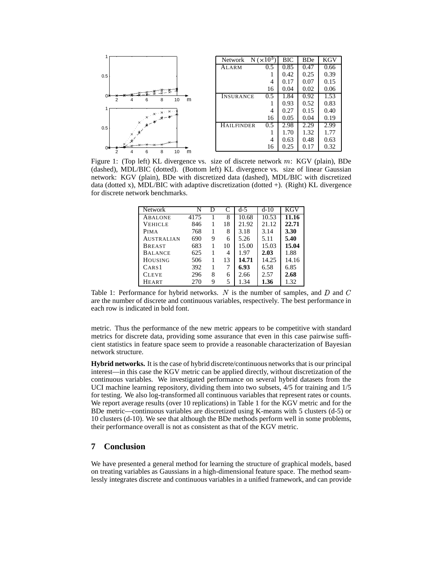

Figure 1: (Top left) KL divergence vs. size of discrete network  $m$ : KGV (plain), BDe (dashed), MDL/BIC (dotted). (Bottom left) KL divergence vs. size of linear Gaussian network: KGV (plain), BDe with discretized data (dashed), MDL/BIC with discretized data (dotted x), MDL/BIC with adaptive discretization (dotted  $+$ ). (Right) KL divergence for discrete network benchmarks.

| <b>Network</b>    | N    | D |    | $d-5$ | $d-10$ | KGV   |
|-------------------|------|---|----|-------|--------|-------|
| <b>ABALONE</b>    | 4175 |   | 8  | 10.68 | 10.53  | 11.16 |
| <b>VEHICLE</b>    | 846  |   | 18 | 21.92 | 21.12  | 22.71 |
| <b>PIMA</b>       | 768  |   | 8  | 3.18  | 3.14   | 3.30  |
| <b>AUSTRALIAN</b> | 690  | 9 | 6  | 5.26  | 5.11   | 5.40  |
| <b>BREAST</b>     | 683  |   | 10 | 15.00 | 15.03  | 15.04 |
| <b>BALANCE</b>    | 625  |   | 4  | 1.97  | 2.03   | 1.88  |
| <b>HOUSING</b>    | 506  |   | 13 | 14.71 | 14.25  | 14.16 |
| CAR <sub>S1</sub> | 392  | 1 | 7  | 6.93  | 6.58   | 6.85  |
| <b>CLEVE</b>      | 296  | 8 | 6  | 2.66  | 2.57   | 2.68  |
| <b>HEART</b>      | 270  | 9 | 5  | 1.34  | 1.36   | 1.32  |
|                   |      |   |    |       |        |       |

Table 1: Performance for hybrid networks. N is the number of samples, and D and C are the number of discrete and continuous variables, respectively. The best performance in each row is indicated in bold font.

metric. Thus the performance of the new metric appears to be competitive with standard metrics for discrete data, providing some assurance that even in this case pairwise sufficient statistics in feature space seem to provide a reasonable characterization of Bayesian network structure.

**Hybrid networks.** It is the case of hybrid discrete/continuous networks that is our principal interest—in this case the KGV metric can be applied directly, without discretization of the continuous variables. We investigated performance on several hybrid datasets from the UCI machine learning repository, dividing them into two subsets, 4/5 for training and 1/5 for testing. We also log-transformed all continuous variables that represent rates or counts. We report average results (over 10 replications) in Table 1 for the KGV metric and for the BDe metric—continuous variables are discretized using K-means with 5 clusters (d-5) or 10 clusters (d-10). We see that although the BDe methods perform well in some problems, their performance overall is not as consistent as that of the KGV metric.

# **7 Conclusion**

We have presented a general method for learning the structure of graphical models, based on treating variables as Gaussians in a high-dimensional feature space. The method seamlessly integrates discrete and continuous variables in a unified framework, and can provide